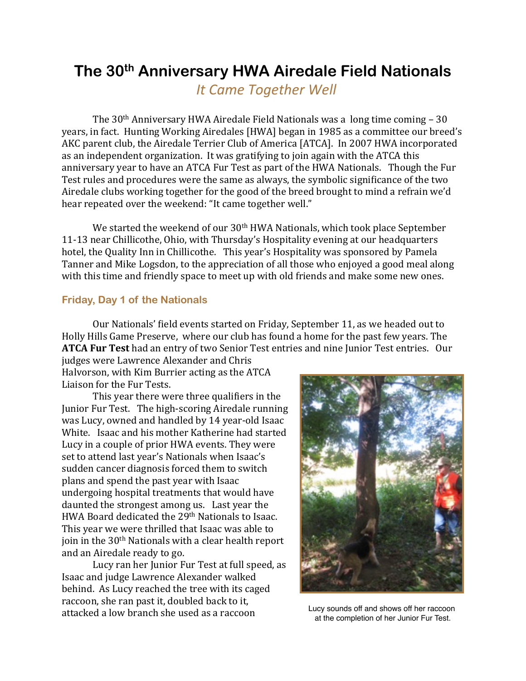# **The 30th Anniversary HWA Airedale Field Nationals**

 *It Came Together Well*

The  $30<sup>th</sup>$  Anniversary HWA Airedale Field Nationals was a long time coming – 30 years, in fact. Hunting Working Airedales [HWA] began in 1985 as a committee our breed's AKC parent club, the Airedale Terrier Club of America [ATCA]. In 2007 HWA incorporated as an independent organization. It was gratifying to join again with the ATCA this anniversary vear to have an ATCA Fur Test as part of the HWA Nationals. Though the Fur Test rules and procedures were the same as always, the symbolic significance of the two Airedale clubs working together for the good of the breed brought to mind a refrain we'd hear repeated over the weekend: "It came together well."

We started the weekend of our  $30<sup>th</sup>$  HWA Nationals, which took place September 11-13 near Chillicothe, Ohio, with Thursday's Hospitality evening at our headquarters hotel, the Quality Inn in Chillicothe. This year's Hospitality was sponsored by Pamela Tanner and Mike Logsdon, to the appreciation of all those who enjoyed a good meal along with this time and friendly space to meet up with old friends and make some new ones.

# **Friday, Day 1 of the Nationals**

Our Nationals' field events started on Friday, September 11, as we headed out to Holly Hills Game Preserve, where our club has found a home for the past few years. The **ATCA Fur Test** had an entry of two Senior Test entries and nine Junior Test entries. Our

judges were Lawrence Alexander and Chris Halvorson, with Kim Burrier acting as the ATCA Liaison for the Fur Tests.

This year there were three qualifiers in the Junior Fur Test. The high-scoring Airedale running was Lucy, owned and handled by 14 year-old Isaac White. Isaac and his mother Katherine had started Lucy in a couple of prior HWA events. They were set to attend last year's Nationals when Isaac's sudden cancer diagnosis forced them to switch plans and spend the past year with Isaac undergoing hospital treatments that would have daunted the strongest among us. Last year the HWA Board dedicated the 29<sup>th</sup> Nationals to Isaac. This year we were thrilled that Isaac was able to join in the  $30<sup>th</sup>$  Nationals with a clear health report and an Airedale ready to go.

Lucy ran her Junior Fur Test at full speed, as Isaac and judge Lawrence Alexander walked behind. As Lucy reached the tree with its caged raccoon, she ran past it, doubled back to it, attacked a low branch she used as a raccoon



at the completion of her Junior Fur Test.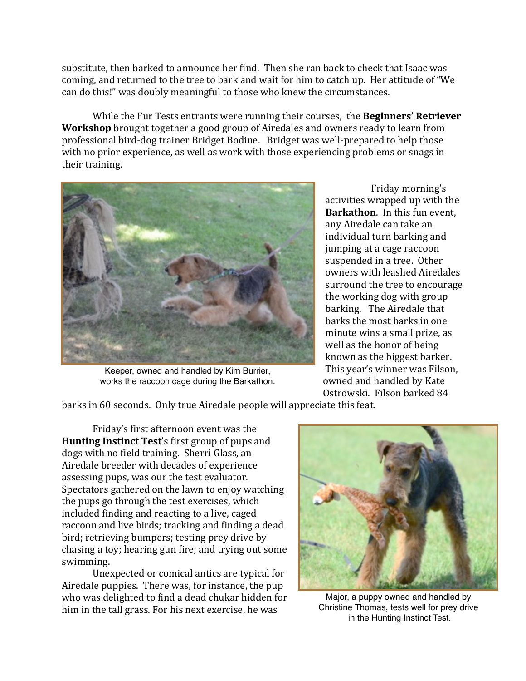substitute, then barked to announce her find. Then she ran back to check that Isaac was coming, and returned to the tree to bark and wait for him to catch up. Her attitude of "We can do this!" was doubly meaningful to those who knew the circumstances.

While the Fur Tests entrants were running their courses, the **Beginners' Retriever Workshop** brought together a good group of Airedales and owners ready to learn from professional bird-dog trainer Bridget Bodine. Bridget was well-prepared to help those with no prior experience, as well as work with those experiencing problems or snags in their training.



Keeper, owned and handled by Kim Burrier, works the raccoon cage during the Barkathon.

Friday morning's activities wrapped up with the **Barkathon**. In this fun event, any Airedale can take an individual turn barking and jumping at a cage raccoon suspended in a tree. Other owners with leashed Airedales surround the tree to encourage the working dog with group barking. The Airedale that barks the most barks in one minute wins a small prize, as well as the honor of being known as the biggest barker. This year's winner was Filson, owned and handled by Kate Ostrowski. Filson barked 84

barks in 60 seconds. Only true Airedale people will appreciate this feat.

Friday's first afternoon event was the **Hunting Instinct Test's first group of pups and** dogs with no field training. Sherri Glass, an Airedale breeder with decades of experience assessing pups, was our the test evaluator. Spectators gathered on the lawn to enjoy watching the pups go through the test exercises, which included finding and reacting to a live, caged raccoon and live birds; tracking and finding a dead bird; retrieving bumpers; testing prey drive by chasing a toy; hearing gun fire; and trying out some swimming. 

Unexpected or comical antics are typical for Airedale puppies. There was, for instance, the pup who was delighted to find a dead chukar hidden for him in the tall grass. For his next exercise, he was



Major, a puppy owned and handled by Christine Thomas, tests well for prey drive in the Hunting Instinct Test.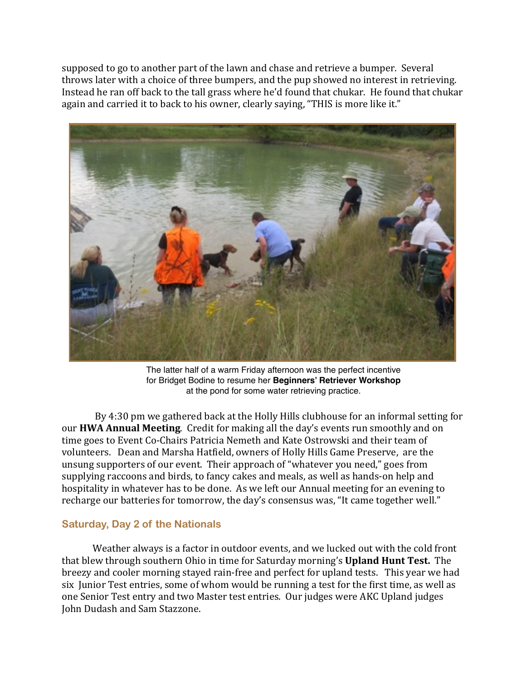supposed to go to another part of the lawn and chase and retrieve a bumper. Several throws later with a choice of three bumpers, and the pup showed no interest in retrieving. Instead he ran off back to the tall grass where he'd found that chukar. He found that chukar again and carried it to back to his owner, clearly saying, "THIS is more like it."



The latter half of a warm Friday afternoon was the perfect incentive for Bridget Bodine to resume her **Beginners' Retriever Workshop** at the pond for some water retrieving practice.

By 4:30 pm we gathered back at the Holly Hills clubhouse for an informal setting for our **HWA Annual Meeting**. Credit for making all the day's events run smoothly and on time goes to Event Co-Chairs Patricia Nemeth and Kate Ostrowski and their team of volunteers. Dean and Marsha Hatfield, owners of Holly Hills Game Preserve, are the unsung supporters of our event. Their approach of "whatever you need," goes from supplying raccoons and birds, to fancy cakes and meals, as well as hands-on help and hospitality in whatever has to be done. As we left our Annual meeting for an evening to recharge our batteries for tomorrow, the day's consensus was, "It came together well."

# **Saturday, Day 2 of the Nationals**

Weather always is a factor in outdoor events, and we lucked out with the cold front that blew through southern Ohio in time for Saturday morning's **Upland Hunt Test.** The breezy and cooler morning stayed rain-free and perfect for upland tests. This year we had six Junior Test entries, some of whom would be running a test for the first time, as well as one Senior Test entry and two Master test entries. Our judges were AKC Upland judges John Dudash and Sam Stazzone.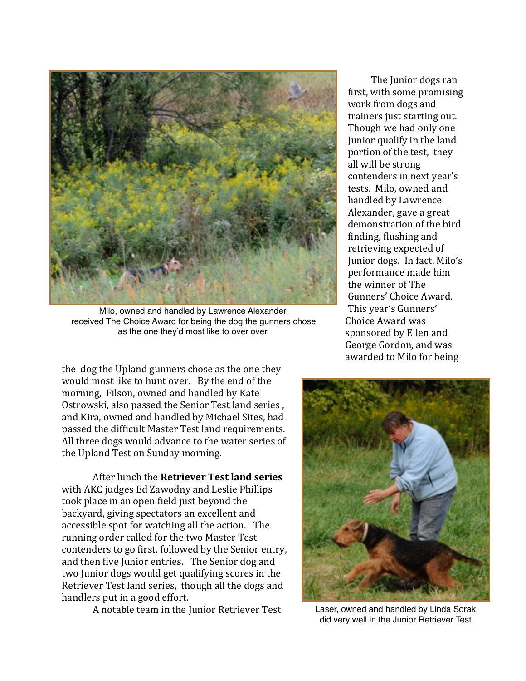

Milo, owned and handled by Lawrence Alexander, received The Choice Award for being the dog the gunners chose as the one they'd most like to over over.

the dog the Upland gunners chose as the one they would most like to hunt over. By the end of the morning, Filson, owned and handled by Kate Ostrowski, also passed the Senior Test land series, and Kira, owned and handled by Michael Sites, had passed the difficult Master Test land requirements. All three dogs would advance to the water series of the Upland Test on Sunday morning.

After lunch the **Retriever Test land series** with AKC judges Ed Zawodny and Leslie Phillips took place in an open field just beyond the backyard, giving spectators an excellent and accessible spot for watching all the action. The running order called for the two Master Test contenders to go first, followed by the Senior entry, and then five Junior entries. The Senior dog and two Junior dogs would get qualifying scores in the Retriever Test land series, though all the dogs and handlers put in a good effort.

A notable team in the Junior Retriever Test

The Junior dogs ran first, with some promising work from dogs and trainers just starting out. Though we had only one Junior qualify in the land portion of the test, they all will be strong contenders in next year's tests. Milo, owned and handled by Lawrence Alexander, gave a great demonstration of the bird finding, flushing and retrieving expected of Junior dogs. In fact, Milo's performance made him the winner of The Gunners' Choice Award. This year's Gunners' Choice Award was sponsored by Ellen and George Gordon, and was awarded to Milo for being



Laser, owned and handled by Linda Sorak, did very well in the Junior Retriever Test.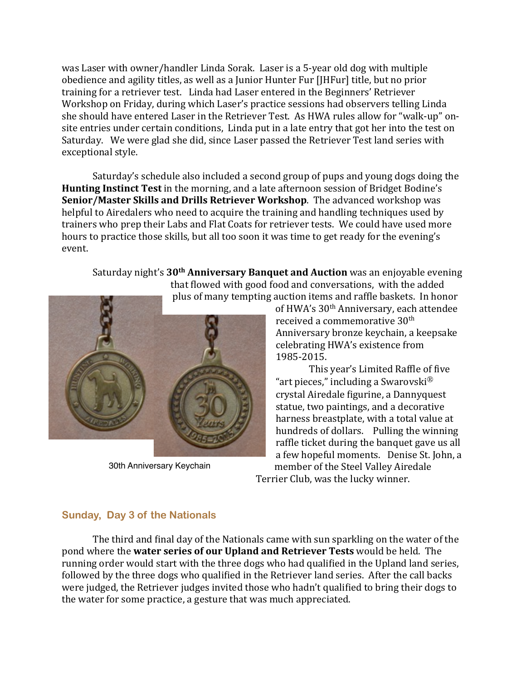was Laser with owner/handler Linda Sorak. Laser is a 5-year old dog with multiple obedience and agility titles, as well as a Junior Hunter Fur [JHFur] title, but no prior training for a retriever test. Linda had Laser entered in the Beginners' Retriever Workshop on Friday, during which Laser's practice sessions had observers telling Linda she should have entered Laser in the Retriever Test. As HWA rules allow for "walk-up" onsite entries under certain conditions, Linda put in a late entry that got her into the test on Saturday. We were glad she did, since Laser passed the Retriever Test land series with exceptional style.

Saturday's schedule also included a second group of pups and young dogs doing the **Hunting Instinct Test** in the morning, and a late afternoon session of Bridget Bodine's **Senior/Master Skills and Drills Retriever Workshop**. The advanced workshop was helpful to Airedalers who need to acquire the training and handling techniques used by trainers who prep their Labs and Flat Coats for retriever tests. We could have used more hours to practice those skills, but all too soon it was time to get ready for the evening's event.

Saturday night's 30<sup>th</sup> Anniversary Banquet and Auction was an enjoyable evening that flowed with good food and conversations, with the added



30th Anniversary Keychain

of HWA's 30<sup>th</sup> Anniversary, each attendee received a commemorative 30<sup>th</sup> Anniversary bronze keychain, a keepsake celebrating HWA's existence from 1985-2015. 

This year's Limited Raffle of five "art pieces," including a Swarovski $^{\circledR}$ crystal Airedale figurine, a Dannyquest statue, two paintings, and a decorative harness breastplate, with a total value at hundreds of dollars. Pulling the winning raffle ticket during the banquet gave us all a few hopeful moments. Denise St. John, a member of the Steel Valley Airedale

Terrier Club, was the lucky winner.

# **Sunday, Day 3 of the Nationals**

The third and final day of the Nationals came with sun sparkling on the water of the pond where the **water series of our Upland and Retriever Tests** would be held. The running order would start with the three dogs who had qualified in the Upland land series, followed by the three dogs who qualified in the Retriever land series. After the call backs were judged, the Retriever judges invited those who hadn't qualified to bring their dogs to the water for some practice, a gesture that was much appreciated.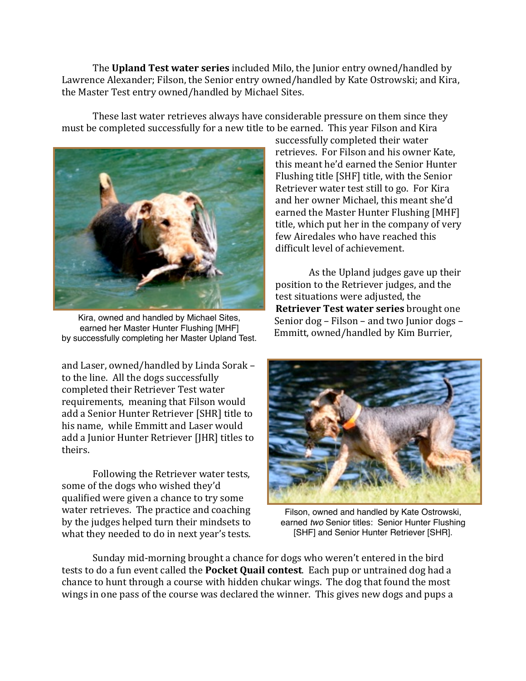The **Upland Test water series** included Milo, the Junior entry owned/handled by Lawrence Alexander; Filson, the Senior entry owned/handled by Kate Ostrowski; and Kira, the Master Test entry owned/handled by Michael Sites.

These last water retrieves always have considerable pressure on them since they must be completed successfully for a new title to be earned. This year Filson and Kira

![](_page_5_Picture_2.jpeg)

Kira, owned and handled by Michael Sites, earned her Master Hunter Flushing [MHF] by successfully completing her Master Upland Test.

and Laser, owned/handled by Linda Sorak to the line. All the dogs successfully completed their Retriever Test water requirements, meaning that Filson would add a Senior Hunter Retriever [SHR] title to his name, while Emmitt and Laser would add a Junior Hunter Retriever [JHR] titles to theirs. 

Following the Retriever water tests, some of the dogs who wished they'd qualified were given a chance to try some water retrieves. The practice and coaching by the judges helped turn their mindsets to what they needed to do in next year's tests.

successfully completed their water retrieves. For Filson and his owner Kate. this meant he'd earned the Senior Hunter Flushing title [SHF] title, with the Senior Retriever water test still to go. For Kira and her owner Michael, this meant she'd earned the Master Hunter Flushing [MHF] title, which put her in the company of very few Airedales who have reached this difficult level of achievement.

As the Upland judges gave up their position to the Retriever judges, and the test situations were adjusted, the **Retriever Test water series** brought one Senior  $\log -$  Filson – and two Junior  $\log s$  – Emmitt, owned/handled by Kim Burrier,

![](_page_5_Picture_8.jpeg)

Filson, owned and handled by Kate Ostrowski, earned *two* Senior titles: Senior Hunter Flushing [SHF] and Senior Hunter Retriever [SHR].

Sunday mid-morning brought a chance for dogs who weren't entered in the bird tests to do a fun event called the **Pocket Quail contest**. Each pup or untrained dog had a chance to hunt through a course with hidden chukar wings. The dog that found the most wings in one pass of the course was declared the winner. This gives new dogs and pups a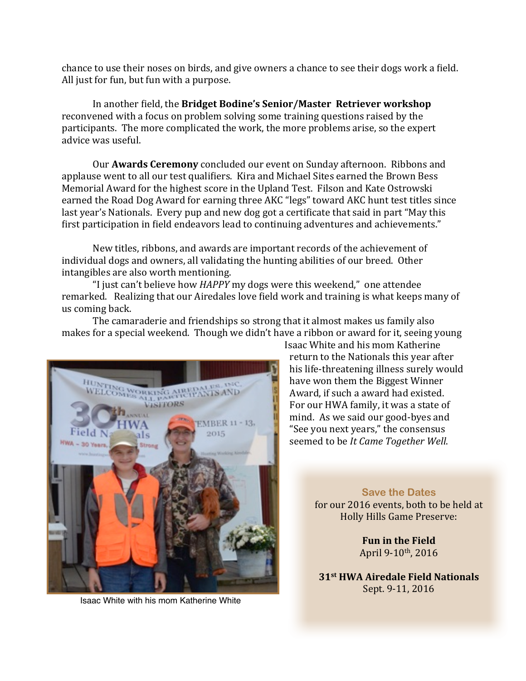chance to use their noses on birds, and give owners a chance to see their dogs work a field. All just for fun, but fun with a purpose.

In another field, the Bridget Bodine's Senior/Master Retriever workshop reconvened with a focus on problem solving some training questions raised by the participants. The more complicated the work, the more problems arise, so the expert advice was useful.

Our **Awards Ceremony** concluded our event on Sunday afternoon. Ribbons and applause went to all our test qualifiers. Kira and Michael Sites earned the Brown Bess Memorial Award for the highest score in the Upland Test. Filson and Kate Ostrowski earned the Road Dog Award for earning three AKC "legs" toward AKC hunt test titles since last year's Nationals. Every pup and new dog got a certificate that said in part "May this first participation in field endeavors lead to continuing adventures and achievements."

New titles, ribbons, and awards are important records of the achievement of individual dogs and owners, all validating the hunting abilities of our breed. Other intangibles are also worth mentioning.

"I just can't believe how *HAPPY* my dogs were this weekend," one attendee remarked. Realizing that our Airedales love field work and training is what keeps many of us coming back.

The camaraderie and friendships so strong that it almost makes us family also makes for a special weekend. Though we didn't have a ribbon or award for it, seeing young

![](_page_6_Picture_6.jpeg)

Isaac White with his mom Katherine White

Isaac White and his mom Katherine return to the Nationals this year after his life-threatening illness surely would have won them the Biggest Winner Award, if such a award had existed. For our HWA family, it was a state of mind. As we said our good-byes and "See you next years," the consensus seemed to be *It Came Together Well*.

> **Save the Dates** for our 2016 events, both to be held at Holly Hills Game Preserve:

> > **Fun in the Field** April 9-10<sup>th</sup>, 2016

**31st HWA Airedale Field Nationals** Sept. 9-11, 2016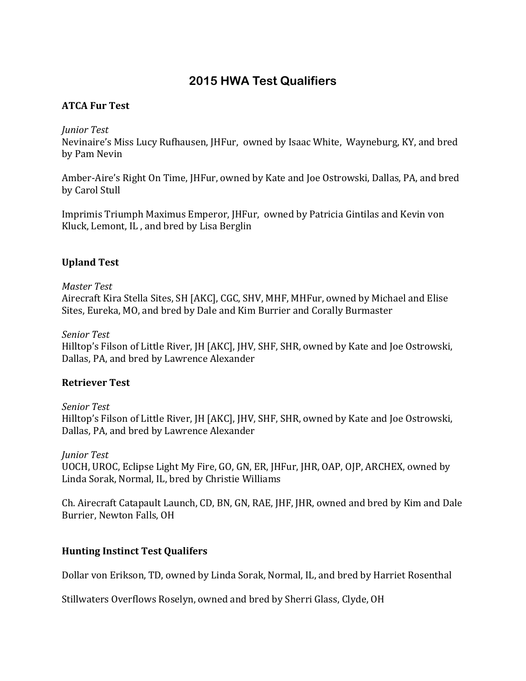# **2015 HWA Test Qualifiers**

# **ATCA Fur Test**

#### *Junior Test*

Nevinaire's Miss Lucy Rufhausen, JHFur, owned by Isaac White, Wayneburg, KY, and bred by Pam Nevin

Amber-Aire's Right On Time, JHFur, owned by Kate and Joe Ostrowski, Dallas, PA, and bred by Carol Stull

Imprimis Triumph Maximus Emperor, IHFur, owned by Patricia Gintilas and Kevin von Kluck, Lemont, IL, and bred by Lisa Berglin

# **Upland Test**

#### *Master Test*

Airecraft Kira Stella Sites, SH [AKC], CGC, SHV, MHF, MHFur, owned by Michael and Elise Sites, Eureka, MO, and bred by Dale and Kim Burrier and Corally Burmaster

#### *Senior Test*

Hilltop's Filson of Little River, JH [AKC], JHV, SHF, SHR, owned by Kate and Joe Ostrowski, Dallas, PA, and bred by Lawrence Alexander

# **Retriever Test**

# *Senior Test*

Hilltop's Filson of Little River, JH [AKC], JHV, SHF, SHR, owned by Kate and Joe Ostrowski, Dallas, PA, and bred by Lawrence Alexander

# *Junior Test*

UOCH, UROC, Eclipse Light My Fire, GO, GN, ER, JHFur, JHR, OAP, OJP, ARCHEX, owned by Linda Sorak, Normal, IL, bred by Christie Williams

Ch. Airecraft Catapault Launch, CD, BN, GN, RAE, JHF, JHR, owned and bred by Kim and Dale Burrier, Newton Falls, OH

# **Hunting Instinct Test Qualifers**

Dollar von Erikson, TD, owned by Linda Sorak, Normal, IL, and bred by Harriet Rosenthal

Stillwaters Overflows Roselyn, owned and bred by Sherri Glass, Clyde, OH